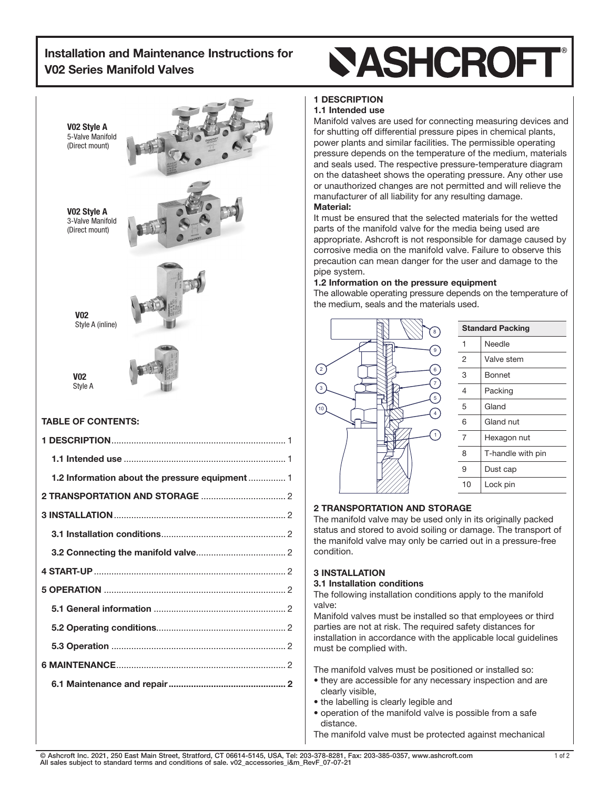## Installation and Maintenance Instructions for V02 Series Manifold Valves



## TABLE OF CONTENTS:

## **SASHCROFT**

## 1 DESCRIPTION

## 1.1 Intended use

Manifold valves are used for connecting measuring devices and for shutting off differential pressure pipes in chemical plants, power plants and similar facilities. The permissible operating pressure depends on the temperature of the medium, materials and seals used. The respective pressure-temperature diagram on the datasheet shows the operating pressure. Any other use or unauthorized changes are not permitted and will relieve the manufacturer of all liability for any resulting damage.

## Material:

It must be ensured that the selected materials for the wetted parts of the manifold valve for the media being used are appropriate. Ashcroft is not responsible for damage caused by corrosive media on the manifold valve. Failure to observe this precaution can mean danger for the user and damage to the pipe system.

## 1.2 Information on the pressure equipment

The allowable operating pressure depends on the temperature of the medium, seals and the materials used.



| <b>Standard Packing</b> |                   |
|-------------------------|-------------------|
| 1                       | Needle            |
| $\overline{2}$          | Valve stem        |
| 3                       | Bonnet            |
| 4                       | Packing           |
| 5                       | Gland             |
| 6                       | Gland nut         |
| 7                       | Hexagon nut       |
| 8                       | T-handle with pin |
| 9                       | Dust cap          |
| 10                      | Lock pin          |

## 2 TRANSPORTATION AND STORAGE

The manifold valve may be used only in its originally packed status and stored to avoid soiling or damage. The transport of the manifold valve may only be carried out in a pressure-free condition.

## 3 INSTALLATION

## 3.1 Installation conditions

The following installation conditions apply to the manifold valve:

Manifold valves must be installed so that employees or third parties are not at risk. The required safety distances for installation in accordance with the applicable local guidelines must be complied with.

The manifold valves must be positioned or installed so:

- they are accessible for any necessary inspection and are clearly visible,
- the labelling is clearly legible and
- operation of the manifold valve is possible from a safe distance.

The manifold valve must be protected against mechanical